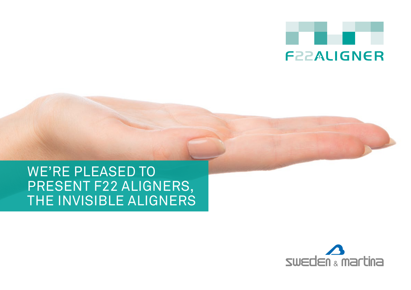

## WE'RE PLEASED TO PRESENT F22 ALIGNERS, THE INVISIBLE ALIGNERS

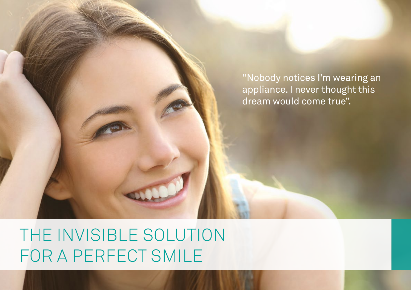"Nobody notices I'm wearing an appliance. I never thought this dream would come true".

# THE INVISIBLE SOLUTION FOR A PERFECT SMILE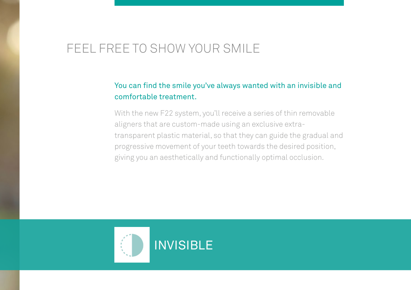### FEEL FREE TO SHOW YOUR SMILE

### You can find the smile you've always wanted with an invisible and comfortable treatment.

With the new F22 system, you'll receive a series of thin removable aligners that are custom-made using an exclusive extratransparent plastic material, so that they can guide the gradual and progressive movement of your teeth towards the desired position, giving you an aesthetically and functionally optimal occlusion.

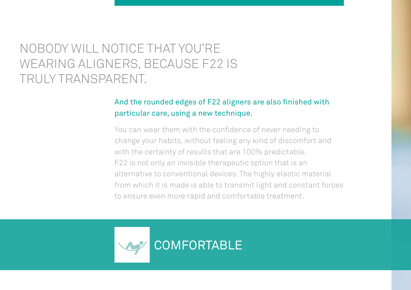## NOBODY WILL NOTICE THAT YOU'RE WEARING ALIGNERS, BECAUSE F22 IS TRULY TRANSPARENT.

### And the rounded edges of F22 aligners are also finished with particular care, using a new technique.

You can wear them with the confidence of never needing to change your habits, without feeling any kind of discomfort and with the certainty of results that are 100% predictable. F22 is not only an invisible therapeutic option that is an alternative to conventional devices. The highly elastic material from which it is made is able to transmit light and constant forces to ensure even more rapid and comfortable treatment.

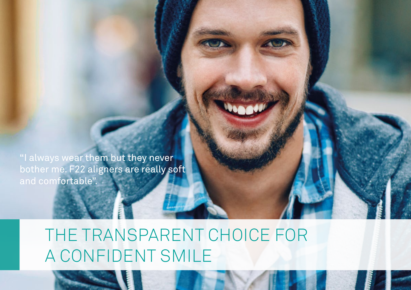"I always wear them but they never bother me. F22 aligners are really soft and comfortable".

# THE TRANSPARENT CHOICE FOR A CONFIDENT SMILE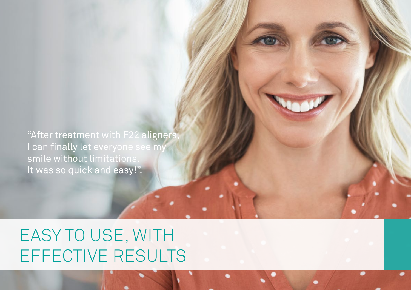"After treatment with F22 aligners, I can finally let everyone see my smile without limitations. It was so quick and easy!".

EASY TO USE, WITH EFFECTIVE RESULTS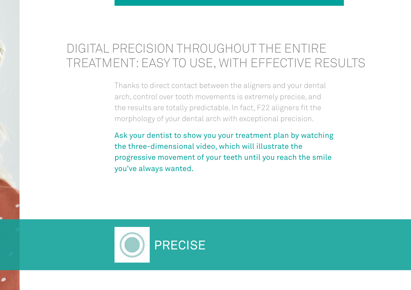### DIGITAL PRECISION THROUGHOUT THE ENTIRE TREATMENT: EASY TO USE, WITH EFFECTIVE RESULTS

Thanks to direct contact between the aligners and your dental arch, control over tooth movements is extremely precise, and the results are totally predictable. In fact, F22 aligners fit the morphology of your dental arch with exceptional precision.

Ask your dentist to show you your treatment plan by watching the three-dimensional video, which will illustrate the progressive movement of your teeth until you reach the smile you've always wanted.

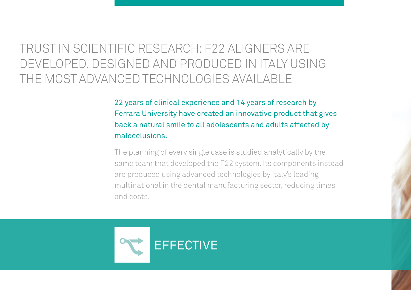## TRUST IN SCIENTIFIC RESEARCH: F22 ALIGNERS ARE DEVELOPED, DESIGNED AND PRODUCED IN ITALY USING THE MOST ADVANCED TECHNOLOGIES AVAILABLE

22 years of clinical experience and 14 years of research by Ferrara University have created an innovative product that gives back a natural smile to all adolescents and adults affected by malocclusions.

The planning of every single case is studied analytically by the same team that developed the F22 system. Its components instead are produced using advanced technologies by Italy's leading multinational in the dental manufacturing sector, reducing times and costs.

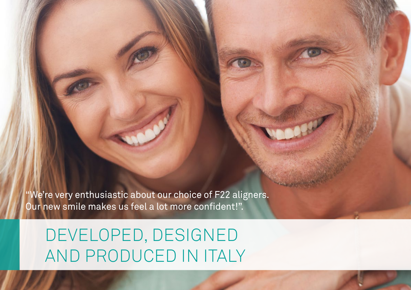"We're very enthusiastic about our choice of F22 aligners. Our new smile makes us feel a lot more confident!".

DEVELOPED, DESIGNED AND PRODUCED IN ITALY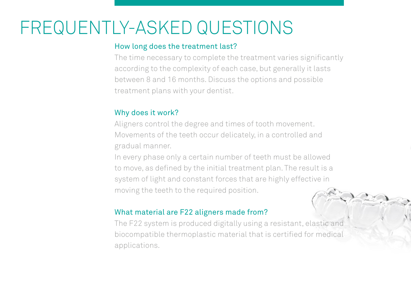# FREQUENTLY-ASKED QUESTIONS

#### How long does the treatment last?

The time necessary to complete the treatment varies significantly according to the complexity of each case, but generally it lasts between 8 and 16 months. Discuss the options and possible treatment plans with your dentist.

### Why does it work?

Aligners control the degree and times of tooth movement. Movements of the teeth occur delicately, in a controlled and gradual manner.

In every phase only a certain number of teeth must be allowed to move, as defined by the initial treatment plan. The result is a system of light and constant forces that are highly effective in moving the teeth to the required position.

#### What material are F22 aligners made from?

The F22 system is produced digitally using a resistant, elastic and biocompatible thermoplastic material that is certified for medical applications.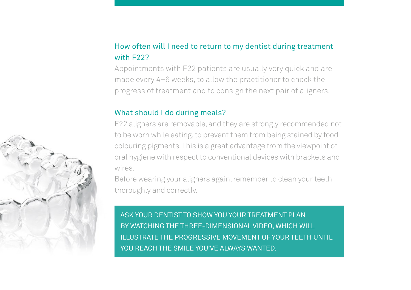### How often will I need to return to my dentist during treatment with F22?

Appointments with F22 patients are usually very quick and are made every 4–6 weeks, to allow the practitioner to check the progress of treatment and to consign the next pair of aligners.

#### What should I do during meals?

F22 aligners are removable, and they are strongly recommended not to be worn while eating, to prevent them from being stained by food colouring pigments. This is a great advantage from the viewpoint of oral hygiene with respect to conventional devices with brackets and wires.

Before wearing your aligners again, remember to clean your teeth thoroughly and correctly.

ASK YOUR DENTIST TO SHOW YOU YOUR TREATMENT PLAN BY WATCHING THE THREE-DIMENSIONAL VIDEO, WHICH WILL ILLUSTRATE THE PROGRESSIVE MOVEMENT OF YOUR TEETH UNTIL YOU REACH THE SMILE YOU'VE ALWAYS WANTED.